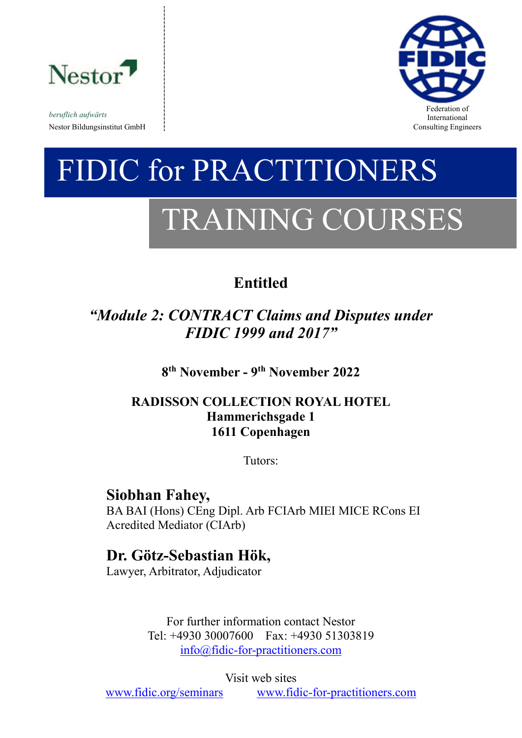

*beruflich aufwärts* Nestor Bildungsinstitut GmbH consulting Engineers and Solution Consulting Engineers and Consulting Engineers and Consulting Engineers and Consulting Engineers and Solution of the Solution of the Solution of the Solution of



# FIDIC for PRACTITIONERS TRAINING COURSES

# **Entitled**

# *"Module 2: CONTRACT Claims and Disputes under FIDIC 1999 and 2017"*

**8 th November - 9 th November 2022**

# **RADISSON COLLECTION ROYAL HOTEL Hammerichsgade 1 1611 Copenhagen**

Tutors:

# **Siobhan Fahey,**

BA BAI (Hons) CEng Dipl. Arb FCIArb MIEI MICE RCons EI Acredited Mediator (CIArb)

# **Dr. Götz-Sebastian Hök,**

Lawyer, Arbitrator, Adjudicator

For further information contact Nestor Tel: +4930 30007600 Fax: +4930 51303819 [info@fidic-for-practitioners.com](mailto:info@fidic-for-practitioners.com)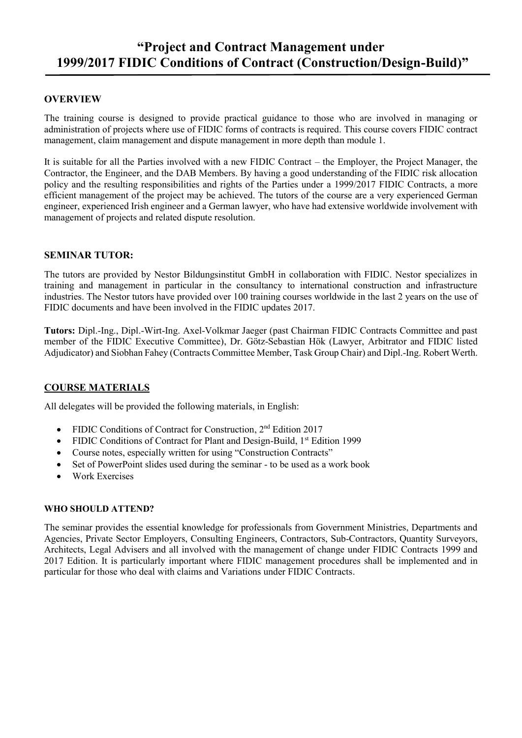# **"Project and Contract Management under 1999/2017 FIDIC Conditions of Contract (Construction/Design-Build)"**

## **OVERVIEW**

The training course is designed to provide practical guidance to those who are involved in managing or administration of projects where use of FIDIC forms of contracts is required. This course covers FIDIC contract management, claim management and dispute management in more depth than module 1.

It is suitable for all the Parties involved with a new FIDIC Contract – the Employer, the Project Manager, the Contractor, the Engineer, and the DAB Members. By having a good understanding of the FIDIC risk allocation policy and the resulting responsibilities and rights of the Parties under a 1999/2017 FIDIC Contracts, a more efficient management of the project may be achieved. The tutors of the course are a very experienced German engineer, experienced Irish engineer and a German lawyer, who have had extensive worldwide involvement with management of projects and related dispute resolution.

## **SEMINAR TUTOR:**

The tutors are provided by Nestor Bildungsinstitut GmbH in collaboration with FIDIC. Nestor specializes in training and management in particular in the consultancy to international construction and infrastructure industries. The Nestor tutors have provided over 100 training courses worldwide in the last 2 years on the use of FIDIC documents and have been involved in the FIDIC updates 2017.

**Tutors:** Dipl.-Ing., Dipl.-Wirt-Ing. Axel-Volkmar Jaeger (past Chairman FIDIC Contracts Committee and past member of the FIDIC Executive Committee), Dr. Götz-Sebastian Hök (Lawyer, Arbitrator and FIDIC listed Adjudicator) and Siobhan Fahey (Contracts Committee Member, Task Group Chair) and Dipl.-Ing. Robert Werth.

## **COURSE MATERIALS**

All delegates will be provided the following materials, in English:

- FIDIC Conditions of Contract for Construction, 2<sup>nd</sup> Edition 2017
- FIDIC Conditions of Contract for Plant and Design-Build, 1<sup>st</sup> Edition 1999
- Course notes, especially written for using "Construction Contracts"
- Set of PowerPoint slides used during the seminar to be used as a work book
- Work Exercises

### **WHO SHOULD ATTEND?**

The seminar provides the essential knowledge for professionals from Government Ministries, Departments and Agencies, Private Sector Employers, Consulting Engineers, Contractors, Sub-Contractors, Quantity Surveyors, Architects, Legal Advisers and all involved with the management of change under FIDIC Contracts 1999 and 2017 Edition. It is particularly important where FIDIC management procedures shall be implemented and in particular for those who deal with claims and Variations under FIDIC Contracts.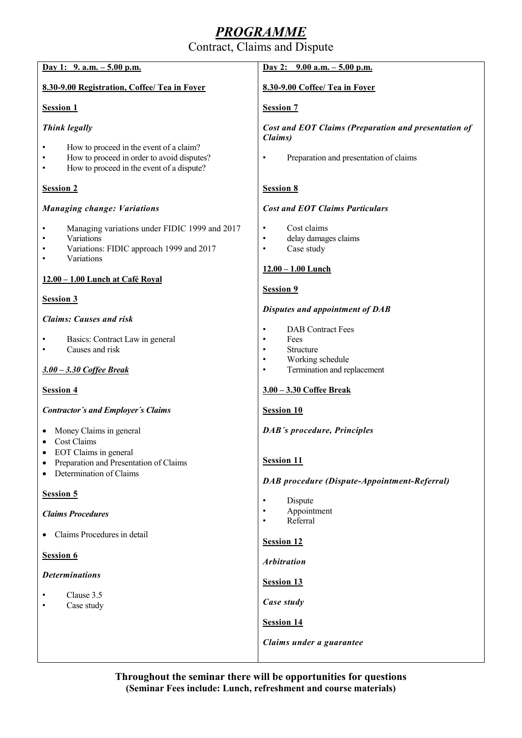# *PROGRAMME*

Contract, Claims and Dispute

| Day 1: $9. a.m. - 5.00 p.m.$                                                                                                       | Day 2: $9.00$ a.m. $-5.00$ p.m.                                                                                  |
|------------------------------------------------------------------------------------------------------------------------------------|------------------------------------------------------------------------------------------------------------------|
| 8.30-9.00 Registration, Coffee/ Tea in Foyer                                                                                       | 8.30-9.00 Coffee/ Tea in Foyer                                                                                   |
| <b>Session 1</b>                                                                                                                   | <b>Session 7</b>                                                                                                 |
| <b>Think legally</b>                                                                                                               | Cost and EOT Claims (Preparation and presentation of<br>Claims)                                                  |
| How to proceed in the event of a claim?<br>How to proceed in order to avoid disputes?<br>How to proceed in the event of a dispute? | Preparation and presentation of claims<br>$\bullet$                                                              |
| <b>Session 2</b>                                                                                                                   | <b>Session 8</b>                                                                                                 |
| <b>Managing change: Variations</b>                                                                                                 | <b>Cost and EOT Claims Particulars</b>                                                                           |
| Managing variations under FIDIC 1999 and 2017<br>Variations<br>Variations: FIDIC approach 1999 and 2017<br>Variations              | Cost claims<br>$\bullet$<br>delay damages claims<br>$\bullet$<br>Case study<br>$\bullet$<br>$12.00 - 1.00$ Lunch |
| 12.00 - 1.00 Lunch at Café Royal                                                                                                   |                                                                                                                  |
| <b>Session 3</b>                                                                                                                   | Session 9                                                                                                        |
| <b>Claims: Causes and risk</b>                                                                                                     | <b>Disputes and appointment of DAB</b>                                                                           |
| Basics: Contract Law in general<br>Causes and risk                                                                                 | <b>DAB</b> Contract Fees<br>Fees<br>$\bullet$<br><b>Structure</b><br>$\bullet$<br>Working schedule<br>$\bullet$  |
| 3.00 - 3.30 Coffee Break                                                                                                           | Termination and replacement<br>$\bullet$                                                                         |
| <b>Session 4</b>                                                                                                                   | 3.00 - 3.30 Coffee Break                                                                                         |
| <b>Contractor's and Employer's Claims</b>                                                                                          | <b>Session 10</b>                                                                                                |
| Money Claims in general<br>Cost Claims                                                                                             | <b>DAB's procedure, Principles</b>                                                                               |
| EOT Claims in general<br>Preparation and Presentation of Claims<br>Determination of Claims                                         | <b>Session 11</b><br>DAB procedure (Dispute-Appointment-Referral)                                                |
| Session 5                                                                                                                          | Dispute<br>$\bullet$                                                                                             |
| <b>Claims Procedures</b>                                                                                                           | Appointment<br>Referral<br>$\bullet$                                                                             |
| Claims Procedures in detail                                                                                                        | <b>Session 12</b>                                                                                                |
| Session 6                                                                                                                          | <b>Arbitration</b>                                                                                               |
| <b>Determinations</b>                                                                                                              | <b>Session 13</b>                                                                                                |
| Clause 3.5<br>Case study                                                                                                           | Case study                                                                                                       |
|                                                                                                                                    | <b>Session 14</b>                                                                                                |
|                                                                                                                                    | Claims under a guarantee                                                                                         |
|                                                                                                                                    |                                                                                                                  |